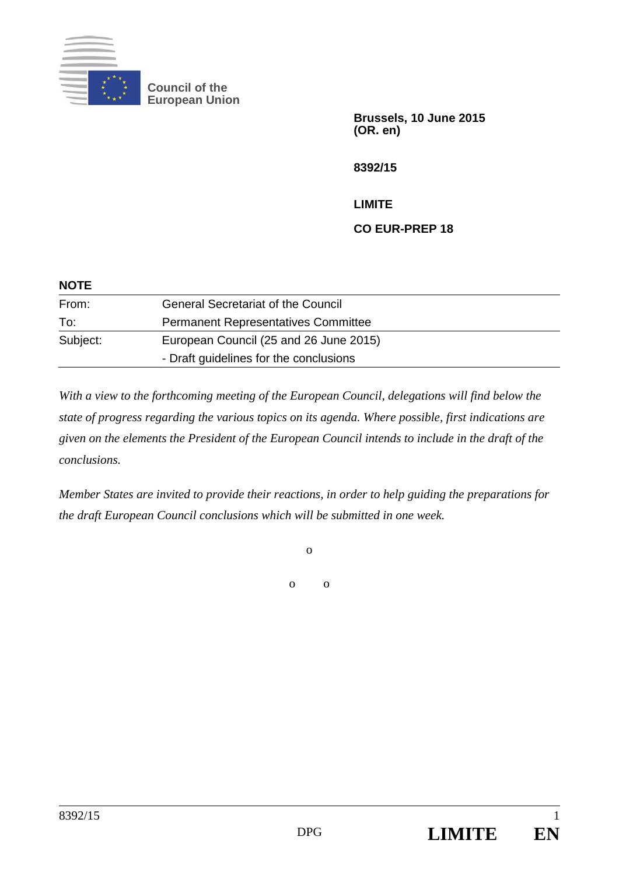

**Council of the European Union** 

> **Brussels, 10 June 2015 (OR. en)**

**8392/15** 

**LIMITE** 

**CO EUR-PREP 18** 

| <b>NOTE</b> |                                            |
|-------------|--------------------------------------------|
| From:       | <b>General Secretariat of the Council</b>  |
| To:         | <b>Permanent Representatives Committee</b> |
| Subject:    | European Council (25 and 26 June 2015)     |
|             | - Draft guidelines for the conclusions     |

*With a view to the forthcoming meeting of the European Council, delegations will find below the state of progress regarding the various topics on its agenda. Where possible, first indications are given on the elements the President of the European Council intends to include in the draft of the conclusions.* 

*Member States are invited to provide their reactions, in order to help guiding the preparations for the draft European Council conclusions which will be submitted in one week.* 

o

o o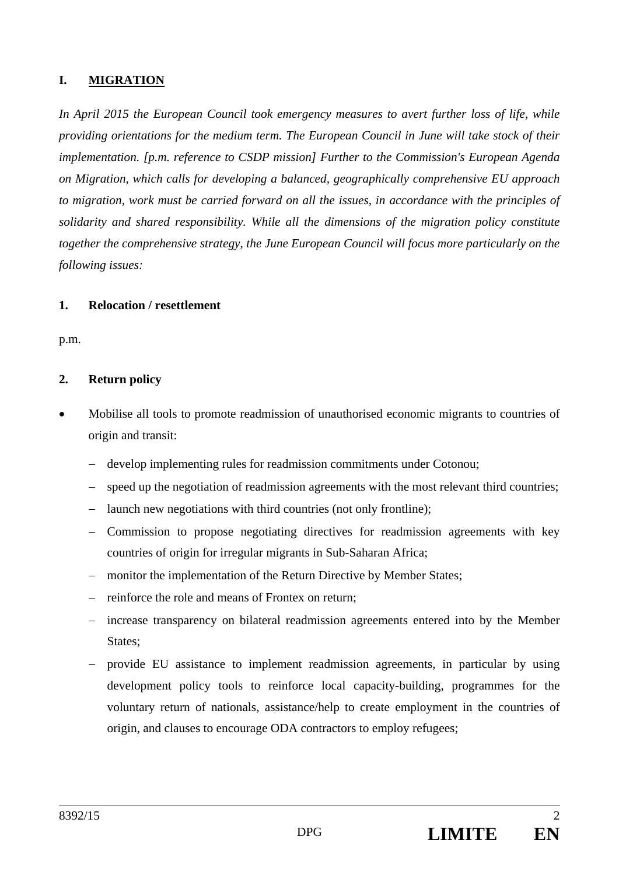## **I. MIGRATION**

*In April 2015 the European Council took emergency measures to avert further loss of life, while providing orientations for the medium term. The European Council in June will take stock of their implementation. [p.m. reference to CSDP mission] Further to the Commission's European Agenda on Migration, which calls for developing a balanced, geographically comprehensive EU approach to migration, work must be carried forward on all the issues, in accordance with the principles of solidarity and shared responsibility. While all the dimensions of the migration policy constitute together the comprehensive strategy, the June European Council will focus more particularly on the following issues:* 

#### **1. Relocation / resettlement**

p.m.

### **2. Return policy**

- Mobilise all tools to promote readmission of unauthorised economic migrants to countries of origin and transit:
	- develop implementing rules for readmission commitments under Cotonou;
	- speed up the negotiation of readmission agreements with the most relevant third countries;
	- launch new negotiations with third countries (not only frontline);
	- Commission to propose negotiating directives for readmission agreements with key countries of origin for irregular migrants in Sub-Saharan Africa;
	- monitor the implementation of the Return Directive by Member States;
	- reinforce the role and means of Frontex on return;
	- increase transparency on bilateral readmission agreements entered into by the Member States;
	- provide EU assistance to implement readmission agreements, in particular by using development policy tools to reinforce local capacity-building, programmes for the voluntary return of nationals, assistance/help to create employment in the countries of origin, and clauses to encourage ODA contractors to employ refugees;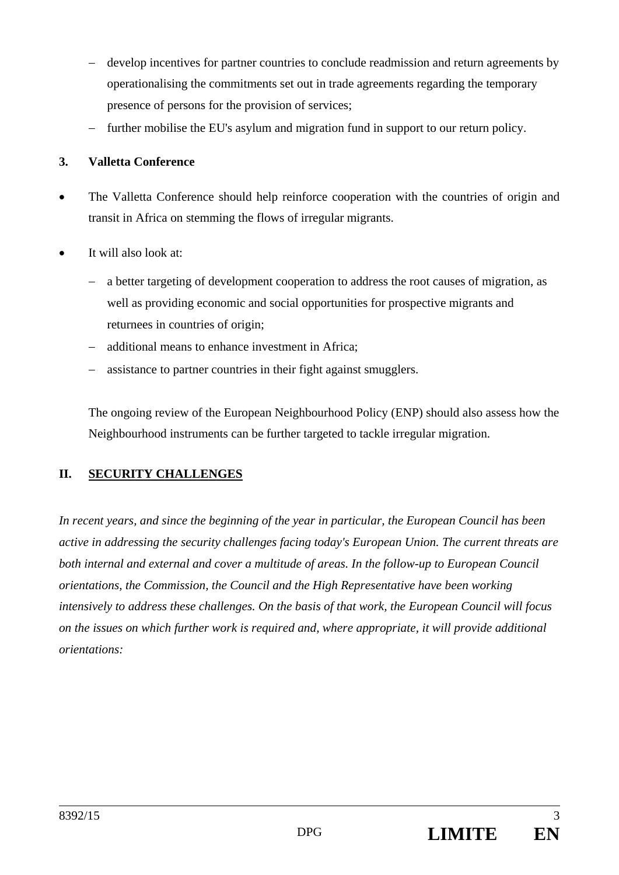- develop incentives for partner countries to conclude readmission and return agreements by operationalising the commitments set out in trade agreements regarding the temporary presence of persons for the provision of services;
- further mobilise the EU's asylum and migration fund in support to our return policy.

# **3. Valletta Conference**

- The Valletta Conference should help reinforce cooperation with the countries of origin and transit in Africa on stemming the flows of irregular migrants.
- It will also look at:
	- a better targeting of development cooperation to address the root causes of migration, as well as providing economic and social opportunities for prospective migrants and returnees in countries of origin;
	- additional means to enhance investment in Africa;
	- assistance to partner countries in their fight against smugglers.

The ongoing review of the European Neighbourhood Policy (ENP) should also assess how the Neighbourhood instruments can be further targeted to tackle irregular migration.

# **II. SECURITY CHALLENGES**

*In recent years, and since the beginning of the year in particular, the European Council has been active in addressing the security challenges facing today's European Union. The current threats are both internal and external and cover a multitude of areas. In the follow-up to European Council orientations, the Commission, the Council and the High Representative have been working intensively to address these challenges. On the basis of that work, the European Council will focus on the issues on which further work is required and, where appropriate, it will provide additional orientations:*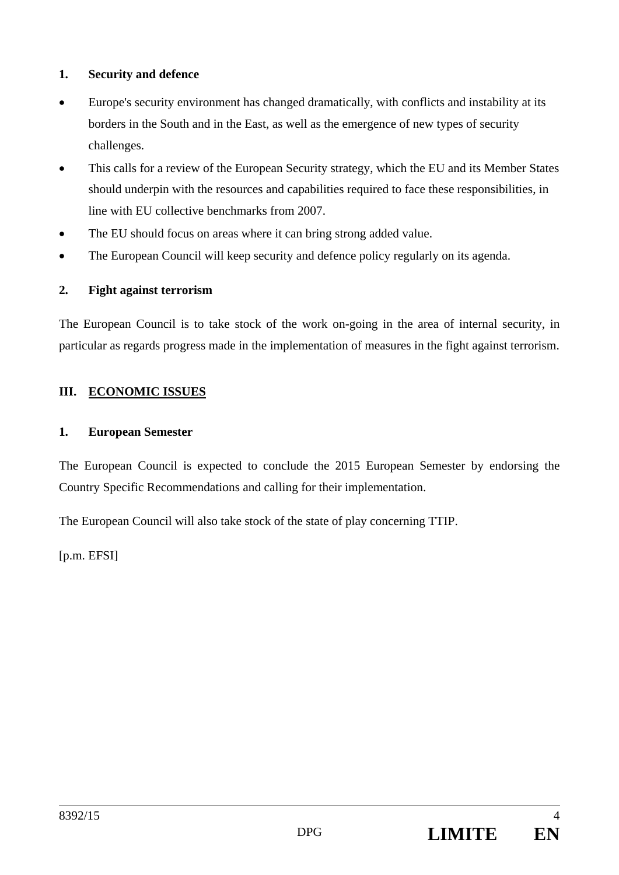### **1. Security and defence**

- Europe's security environment has changed dramatically, with conflicts and instability at its borders in the South and in the East, as well as the emergence of new types of security challenges.
- This calls for a review of the European Security strategy, which the EU and its Member States should underpin with the resources and capabilities required to face these responsibilities, in line with EU collective benchmarks from 2007.
- The EU should focus on areas where it can bring strong added value.
- The European Council will keep security and defence policy regularly on its agenda.

#### **2. Fight against terrorism**

The European Council is to take stock of the work on-going in the area of internal security, in particular as regards progress made in the implementation of measures in the fight against terrorism.

### **III. ECONOMIC ISSUES**

#### **1. European Semester**

The European Council is expected to conclude the 2015 European Semester by endorsing the Country Specific Recommendations and calling for their implementation.

The European Council will also take stock of the state of play concerning TTIP.

[p.m. EFSI]